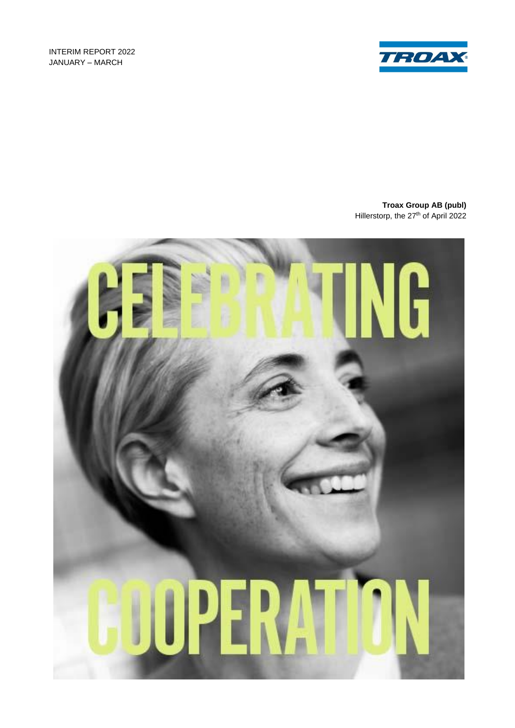INTERIM REPORT 2022 JANUARY – MARCH



**Troax Group AB (publ)** Hillerstorp, the 27<sup>th</sup> of April 2022

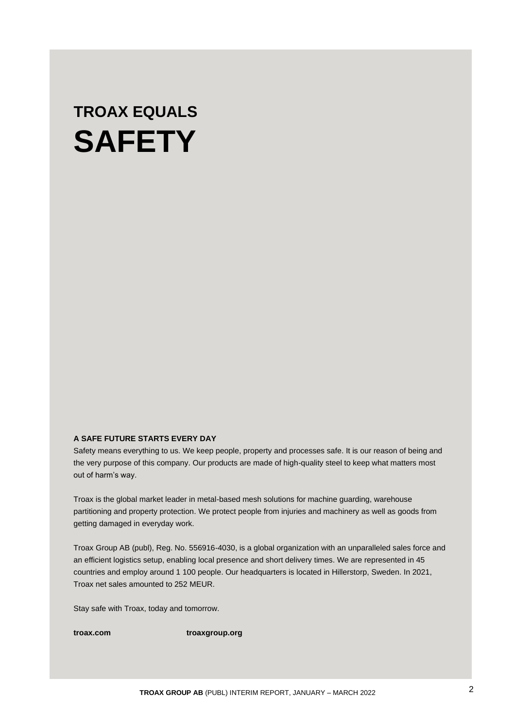# **TROAX EQUALS SAFETY**

# **A SAFE FUTURE STARTS EVERY DAY**

Safety means everything to us. We keep people, property and processes safe. It is our reason of being and the very purpose of this company. Our products are made of high-quality steel to keep what matters most out of harm's way.

Troax is the global market leader in metal-based mesh solutions for machine guarding, warehouse partitioning and property protection. We protect people from injuries and machinery as well as goods from getting damaged in everyday work.

Troax Group AB (publ), Reg. No. 556916-4030, is a global organization with an unparalleled sales force and an efficient logistics setup, enabling local presence and short delivery times. We are represented in 45 countries and employ around 1 100 people. Our headquarters is located in Hillerstorp, Sweden. In 2021, Troax net sales amounted to 252 MEUR.

Stay safe with Troax, today and tomorrow.

**troax.com troaxgroup.org**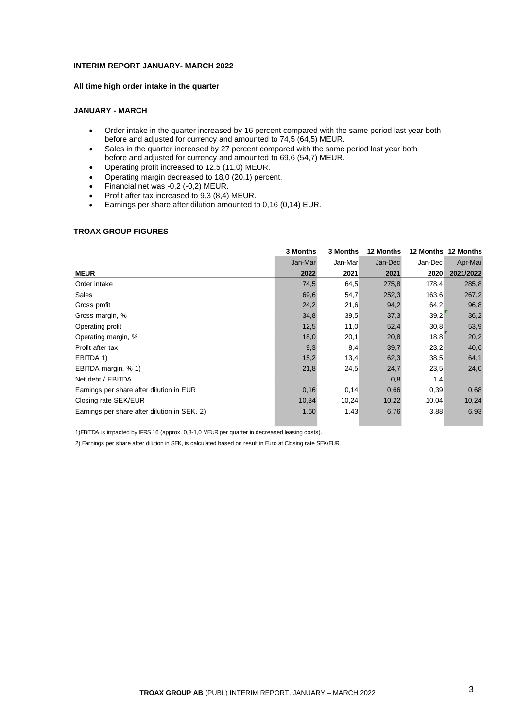## **INTERIM REPORT JANUARY- MARCH 2022**

# **All time high order intake in the quarter**

# **JANUARY - MARCH**

- Order intake in the quarter increased by 16 percent compared with the same period last year both before and adjusted for currency and amounted to 74,5 (64,5) MEUR.
- Sales in the quarter increased by 27 percent compared with the same period last year both before and adjusted for currency and amounted to 69,6 (54,7) MEUR.
- Operating profit increased to 12,5 (11,0) MEUR.
- Operating margin decreased to 18,0 (20,1) percent.
- Financial net was -0,2 (-0,2) MEUR.
- Profit after tax increased to 9,3 (8,4) MEUR.<br>• Farnings per share after dilution amounted to
- Earnings per share after dilution amounted to 0,16 (0,14) EUR.

## **TROAX GROUP FIGURES**

|                                              | 3 Months | 3 Months | <b>12 Months</b> |         | 12 Months 12 Months |
|----------------------------------------------|----------|----------|------------------|---------|---------------------|
|                                              | Jan-Mar  | Jan-Mar  | Jan-Dec          | Jan-Dec | Apr-Mar             |
| <b>MEUR</b>                                  | 2022     | 2021     | 2021             | 2020    | 2021/2022           |
| Order intake                                 | 74,5     | 64,5     | 275,8            | 178,4   | 285,8               |
| Sales                                        | 69,6     | 54,7     | 252,3            | 163,6   | 267,2               |
| Gross profit                                 | 24,2     | 21,6     | 94,2             | 64,2    | 96,8                |
| Gross margin, %                              | 34,8     | 39,5     | 37,3             | 39,2    | 36,2                |
| Operating profit                             | 12,5     | 11,0     | 52,4             | 30,8    | 53,9                |
| Operating margin, %                          | 18,0     | 20,1     | 20,8             | 18,8    | 20,2                |
| Profit after tax                             | 9,3      | 8,4      | 39,7             | 23,2    | 40,6                |
| EBITDA 1)                                    | 15,2     | 13,4     | 62,3             | 38,5    | 64,1                |
| EBITDA margin, % 1)                          | 21,8     | 24,5     | 24,7             | 23,5    | 24,0                |
| Net debt / EBITDA                            |          |          | 0,8              | 1,4     |                     |
| Earnings per share after dilution in EUR     | 0, 16    | 0, 14    | 0,66             | 0,39    | 0,68                |
| Closing rate SEK/EUR                         | 10,34    | 10,24    | 10,22            | 10,04   | 10,24               |
| Earnings per share after dilution in SEK. 2) | 1,60     | 1,43     | 6,76             | 3,88    | 6,93                |

1)EBITDA is impacted by IFRS 16 (approx. 0,8-1,0 MEUR per quarter in decreased leasing costs).

2) Earnings per share after dilution in SEK, is calculated based on result in Euro at Closing rate SEK/EUR.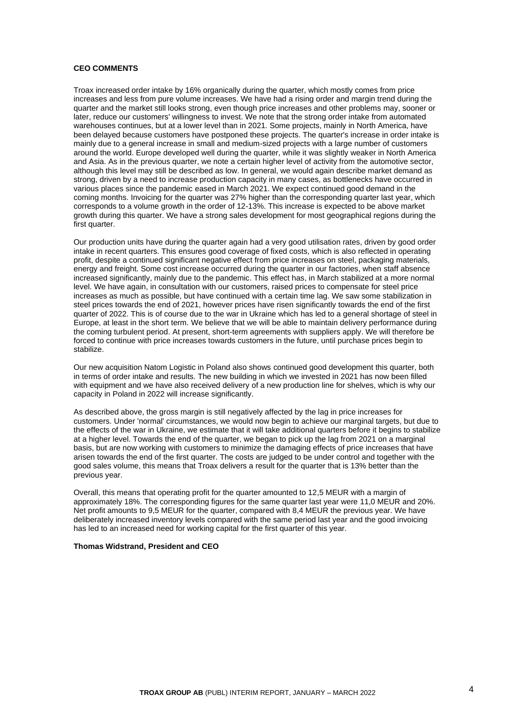## **CEO COMMENTS**

Troax increased order intake by 16% organically during the quarter, which mostly comes from price increases and less from pure volume increases. We have had a rising order and margin trend during the quarter and the market still looks strong, even though price increases and other problems may, sooner or later, reduce our customers' willingness to invest. We note that the strong order intake from automated warehouses continues, but at a lower level than in 2021. Some projects, mainly in North America, have been delayed because customers have postponed these projects. The quarter's increase in order intake is mainly due to a general increase in small and medium-sized projects with a large number of customers around the world. Europe developed well during the quarter, while it was slightly weaker in North America and Asia. As in the previous quarter, we note a certain higher level of activity from the automotive sector, although this level may still be described as low. In general, we would again describe market demand as strong, driven by a need to increase production capacity in many cases, as bottlenecks have occurred in various places since the pandemic eased in March 2021. We expect continued good demand in the coming months. Invoicing for the quarter was 27% higher than the corresponding quarter last year, which corresponds to a volume growth in the order of 12-13%. This increase is expected to be above market growth during this quarter. We have a strong sales development for most geographical regions during the first quarter.

Our production units have during the quarter again had a very good utilisation rates, driven by good order intake in recent quarters. This ensures good coverage of fixed costs, which is also reflected in operating profit, despite a continued significant negative effect from price increases on steel, packaging materials, energy and freight. Some cost increase occurred during the quarter in our factories, when staff absence increased significantly, mainly due to the pandemic. This effect has, in March stabilized at a more normal level. We have again, in consultation with our customers, raised prices to compensate for steel price increases as much as possible, but have continued with a certain time lag. We saw some stabilization in steel prices towards the end of 2021, however prices have risen significantly towards the end of the first quarter of 2022. This is of course due to the war in Ukraine which has led to a general shortage of steel in Europe, at least in the short term. We believe that we will be able to maintain delivery performance during the coming turbulent period. At present, short-term agreements with suppliers apply. We will therefore be forced to continue with price increases towards customers in the future, until purchase prices begin to stabilize.

Our new acquisition Natom Logistic in Poland also shows continued good development this quarter, both in terms of order intake and results. The new building in which we invested in 2021 has now been filled with equipment and we have also received delivery of a new production line for shelves, which is why our capacity in Poland in 2022 will increase significantly.

As described above, the gross margin is still negatively affected by the lag in price increases for customers. Under 'normal' circumstances, we would now begin to achieve our marginal targets, but due to the effects of the war in Ukraine, we estimate that it will take additional quarters before it begins to stabilize at a higher level. Towards the end of the quarter, we began to pick up the lag from 2021 on a marginal basis, but are now working with customers to minimize the damaging effects of price increases that have arisen towards the end of the first quarter. The costs are judged to be under control and together with the good sales volume, this means that Troax delivers a result for the quarter that is 13% better than the previous year.

Overall, this means that operating profit for the quarter amounted to 12,5 MEUR with a margin of approximately 18%. The corresponding figures for the same quarter last year were 11,0 MEUR and 20%. Net profit amounts to 9,5 MEUR for the quarter, compared with 8,4 MEUR the previous year. We have deliberately increased inventory levels compared with the same period last year and the good invoicing has led to an increased need for working capital for the first quarter of this year.

## **Thomas Widstrand, President and CEO**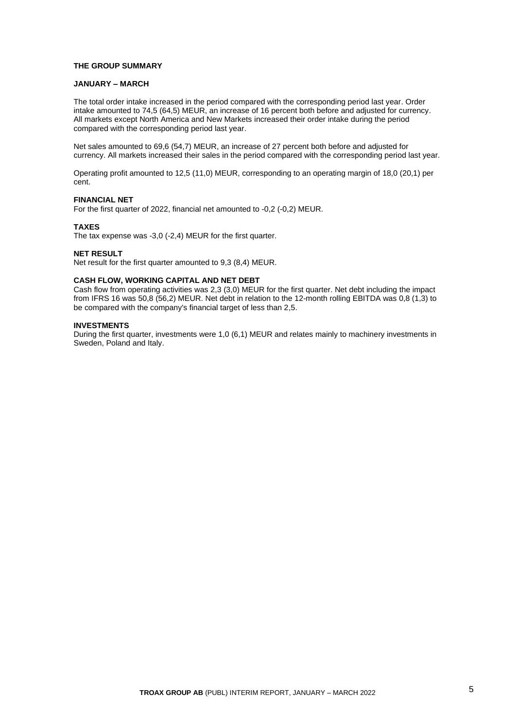## **THE GROUP SUMMARY**

## **JANUARY – MARCH**

The total order intake increased in the period compared with the corresponding period last year. Order intake amounted to 74,5 (64,5) MEUR, an increase of 16 percent both before and adjusted for currency. All markets except North America and New Markets increased their order intake during the period compared with the corresponding period last year.

Net sales amounted to 69,6 (54,7) MEUR, an increase of 27 percent both before and adjusted for currency. All markets increased their sales in the period compared with the corresponding period last year.

Operating profit amounted to 12,5 (11,0) MEUR, corresponding to an operating margin of 18,0 (20,1) per cent.

## **FINANCIAL NET**

For the first quarter of 2022, financial net amounted to -0,2 (-0,2) MEUR.

### **TAXES**

The tax expense was -3,0 (-2,4) MEUR for the first quarter.

#### **NET RESULT**

Net result for the first quarter amounted to 9,3 (8,4) MEUR.

# **CASH FLOW, WORKING CAPITAL AND NET DEBT**

Cash flow from operating activities was 2,3 (3,0) MEUR for the first quarter. Net debt including the impact from IFRS 16 was 50,8 (56,2) MEUR. Net debt in relation to the 12-month rolling EBITDA was 0,8 (1,3) to be compared with the company's financial target of less than 2,5.

## **INVESTMENTS**

During the first quarter, investments were 1,0 (6,1) MEUR and relates mainly to machinery investments in Sweden, Poland and Italy.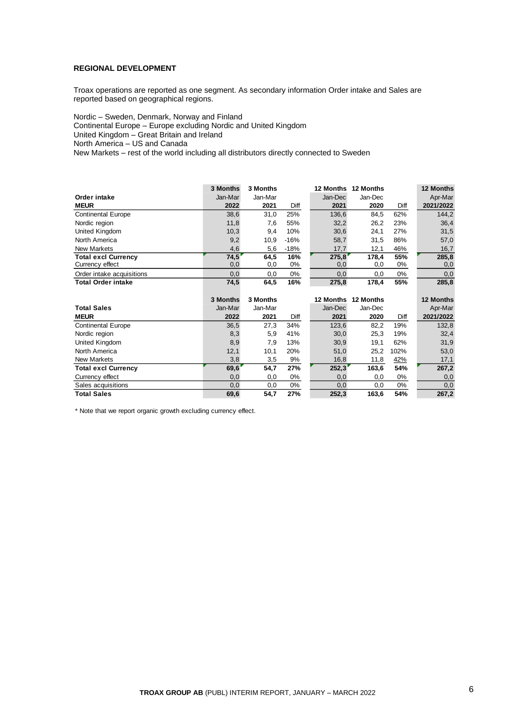# **REGIONAL DEVELOPMENT**

Troax operations are reported as one segment. As secondary information Order intake and Sales are reported based on geographical regions.

Nordic – Sweden, Denmark, Norway and Finland Continental Europe – Europe excluding Nordic and United Kingdom United Kingdom – Great Britain and Ireland North America – US and Canada New Markets – rest of the world including all distributors directly connected to Sweden

|                                               | 3 Months    | 3 Months    |           | 12 Months    | 12 Months    |           | 12 Months    |
|-----------------------------------------------|-------------|-------------|-----------|--------------|--------------|-----------|--------------|
| Order intake                                  | Jan-Mar     | Jan-Mar     |           | Jan-Dec      | Jan-Dec      |           | Apr-Mar      |
| <b>MEUR</b>                                   | 2022        | 2021        | Diff      | 2021         | 2020         | Diff      | 2021/2022    |
| <b>Continental Europe</b>                     | 38,6        | 31,0        | 25%       | 136,6        | 84.5         | 62%       | 144,2        |
| Nordic region                                 | 11,8        | 7,6         | 55%       | 32,2         | 26,2         | 23%       | 36,4         |
| United Kingdom                                | 10,3        | 9,4         | 10%       | 30,6         | 24.1         | 27%       | 31,5         |
| North America                                 | 9,2         | 10,9        | $-16%$    | 58,7         | 31,5         | 86%       | 57,0         |
| New Markets                                   | 4,6         | 5,6         | $-18%$    | 17,7         | 12,1         | 46%       | 16,7         |
| <b>Total excl Currency</b><br>Currency effect | 74.5<br>0,0 | 64.5<br>0,0 | 16%<br>0% | 275.8<br>0,0 | 178.4<br>0,0 | 55%<br>0% | 285,8<br>0,0 |
| Order intake acquisitions                     | 0,0         | 0,0         | $0\%$     | 0,0          | 0,0          | 0%        | 0,0          |
| <b>Total Order intake</b>                     | 74,5        | 64,5        | 16%       | 275,8        | 178,4        | 55%       | 285,8        |

|                            | 3 Months | 3 Months |       | <b>12 Months</b> | 12 Months |       | <b>12 Months</b> |
|----------------------------|----------|----------|-------|------------------|-----------|-------|------------------|
| <b>Total Sales</b>         | Jan-Mar  | Jan-Mar  |       | Jan-Dec          | Jan-Dec   |       | Apr-Mar          |
| <b>MEUR</b>                | 2022     | 2021     | Diff  | 2021             | 2020      | Diff  | 2021/2022        |
| <b>Continental Europe</b>  | 36,5     | 27,3     | 34%   | 123,6            | 82,2      | 19%   | 132,8            |
| Nordic region              | 8,3      | 5,9      | 41%   | 30,0             | 25,3      | 19%   | 32,4             |
| United Kingdom             | 8,9      | 7,9      | 13%   | 30,9             | 19,1      | 62%   | 31,9             |
| North America              | 12,1     | 10,1     | 20%   | 51,0             | 25,2      | 102%  | 53,0             |
| <b>New Markets</b>         | 3,8      | 3,5      | 9%    | 16,8             | 11,8      | 42%   | 17,1             |
| <b>Total excl Currency</b> | 69,6'    | 54,7     | 27%   | 252,3            | 163,6     | 54%   | 267,2            |
| Currency effect            | 0,0      | 0,0      | 0%    | 0,0              | 0,0       | 0%    | 0,0              |
| Sales acquisitions         | 0,0      | 0.0      | $0\%$ | 0,0              | 0,0       | $0\%$ | 0,0              |
| <b>Total Sales</b>         | 69,6     | 54.7     | 27%   | 252.3            | 163,6     | 54%   | 267,2            |

\* Note that we report organic growth excluding currency effect.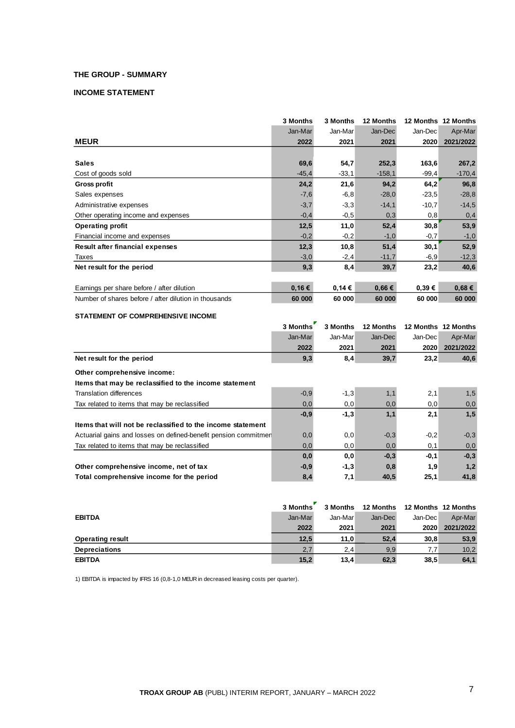# **THE GROUP - SUMMARY**

# **INCOME STATEMENT**

|                                                       | 3 Months | 3 Months | 12 Months | <b>12 Months</b> | 12 Months |
|-------------------------------------------------------|----------|----------|-----------|------------------|-----------|
|                                                       | Jan-Mar  | Jan-Mar  | Jan-Dec   | Jan-Dec          | Apr-Mar   |
| <b>MEUR</b>                                           | 2022     | 2021     | 2021      | 2020             | 2021/2022 |
|                                                       |          |          |           |                  |           |
| <b>Sales</b>                                          | 69,6     | 54,7     | 252,3     | 163,6            | 267,2     |
| Cost of goods sold                                    | $-45,4$  | $-33.1$  | $-158,1$  | $-99,4$          | $-170,4$  |
| <b>Gross profit</b>                                   | 24,2     | 21,6     | 94,2      | 64,2             | 96,8      |
| Sales expenses                                        | $-7,6$   | $-6,8$   | $-28,0$   | $-23,5$          | $-28,8$   |
| Administrative expenses                               | $-3,7$   | $-3,3$   | $-14,1$   | $-10,7$          | $-14,5$   |
| Other operating income and expenses                   | $-0,4$   | $-0,5$   | 0,3       | 0,8              | 0,4       |
| <b>Operating profit</b>                               | 12,5     | 11,0     | 52,4      | 30,8             | 53,9      |
| Financial income and expenses                         | $-0,2$   | $-0,2$   | $-1,0$    | $-0,7$           | $-1,0$    |
| Result after financial expenses                       | 12,3     | 10,8     | 51,4      | 30,1             | 52,9      |
| Taxes                                                 | $-3,0$   | $-2,4$   | $-11,7$   | $-6,9$           | $-12,3$   |
| Net result for the period                             | 9,3      | 8,4      | 39,7      | 23,2             | 40,6      |
| Earnings per share before / after dilution            | 0,16€    | 0,14€    | 0,66€     | 0,39€            | 0,68€     |
| Number of shares before / after dilution in thousands | 60 000   | 60 000   | 60 000    | 60 000           | 60 000    |

## **STATEMENT OF COMPREHENSIVE INCOME**

|                                                                 | 3 Months | 3 Months | 12 Months |         | 12 Months 12 Months |
|-----------------------------------------------------------------|----------|----------|-----------|---------|---------------------|
|                                                                 | Jan-Mar  | Jan-Mar  | Jan-Dec   | Jan-Dec | Apr-Mar             |
|                                                                 | 2022     | 2021     | 2021      | 2020    | 2021/2022           |
| Net result for the period                                       | 9,3      | 8,4      | 39,7      | 23,2    | 40,6                |
| Other comprehensive income:                                     |          |          |           |         |                     |
| Items that may be reclassified to the income statement          |          |          |           |         |                     |
| Translation differences                                         | $-0,9$   | $-1,3$   | 1,1       | 2,1     | 1,5                 |
| Tax related to items that may be reclassified                   | 0,0      | 0,0      | 0,0       | 0,0     | 0,0                 |
|                                                                 | $-0.9$   | $-1,3$   | 1,1       | 2,1     | 1,5                 |
| Items that will not be reclassified to the income statement     |          |          |           |         |                     |
| Actuarial gains and losses on defined-benefit pension commitmer | 0,0      | 0,0      | $-0,3$    | $-0,2$  | $-0,3$              |
| Tax related to items that may be reclassified                   | 0,0      | 0,0      | 0,0       | 0,1     | 0,0                 |
|                                                                 | 0,0      | 0,0      | $-0,3$    | $-0,1$  | $-0,3$              |
| Other comprehensive income, net of tax                          | $-0,9$   | $-1,3$   | 0,8       | 1.9     | 1,2                 |
| Total comprehensive income for the period                       | 8,4      | 7,1      | 40,5      | 25,1    | 41,8                |

|                         | 3 Months | 3 Months | 12 Months | 12 Months 12 Months |           |
|-------------------------|----------|----------|-----------|---------------------|-----------|
| <b>EBITDA</b>           | Jan-Mar  | Jan-Mar  | Jan-Dec   | Jan-Dec             | Apr-Mar   |
|                         | 2022     | 2021     | 2021      | 2020                | 2021/2022 |
| <b>Operating result</b> | 12,5     | 11.0     | 52,4      | 30,8                | 53,9      |
| <b>Depreciations</b>    | 2,7      | 2,4      | 9,9       | 7.7                 | 10,2      |
| <b>EBITDA</b>           | 15,2     | 13,4     | 62,3      | 38,5                | 64,1      |

1) EBITDA is impacted by IFRS 16 (0,8-1,0 MEUR in decreased leasing costs per quarter).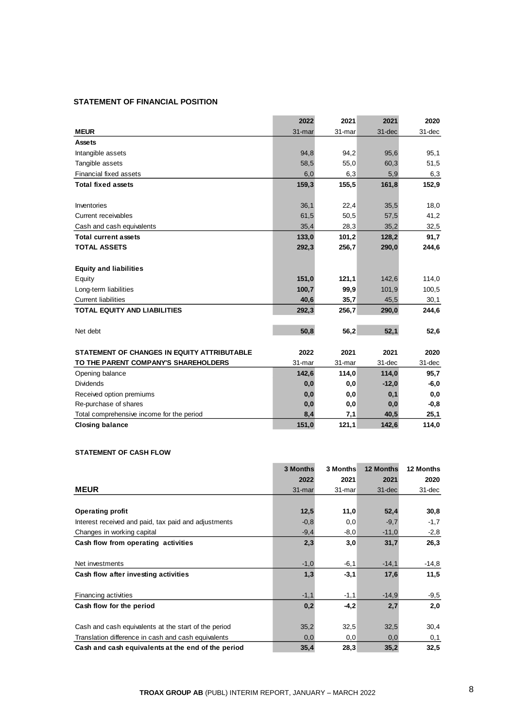# **STATEMENT OF FINANCIAL POSITION**

|                                             | 2022   | 2021   | 2021    | 2020   |
|---------------------------------------------|--------|--------|---------|--------|
| <b>MEUR</b>                                 | 31-mar | 31-mar | 31-dec  | 31-dec |
| <b>Assets</b>                               |        |        |         |        |
| Intangible assets                           | 94,8   | 94,2   | 95,6    | 95,1   |
| Tangible assets                             | 58,5   | 55,0   | 60,3    | 51,5   |
| Financial fixed assets                      | 6,0    | 6,3    | 5,9     | 6,3    |
| <b>Total fixed assets</b>                   | 159,3  | 155,5  | 161,8   | 152,9  |
|                                             |        |        |         |        |
| Inventories                                 | 36,1   | 22,4   | 35,5    | 18,0   |
| Current receivables                         | 61,5   | 50,5   | 57,5    | 41,2   |
| Cash and cash equivalents                   | 35,4   | 28,3   | 35,2    | 32,5   |
| <b>Total current assets</b>                 | 133,0  | 101,2  | 128,2   | 91,7   |
| <b>TOTAL ASSETS</b>                         | 292,3  | 256,7  | 290,0   | 244,6  |
|                                             |        |        |         |        |
| <b>Equity and liabilities</b>               |        |        |         |        |
| Equity                                      | 151,0  | 121,1  | 142,6   | 114,0  |
| Long-term liabilities                       | 100,7  | 99,9   | 101,9   | 100,5  |
| <b>Current liabilities</b>                  | 40,6   | 35,7   | 45,5    | 30,1   |
| <b>TOTAL EQUITY AND LIABILITIES</b>         | 292,3  | 256,7  | 290,0   | 244,6  |
|                                             |        |        |         |        |
| Net debt                                    | 50,8   | 56,2   | 52,1    | 52,6   |
|                                             |        |        |         |        |
| STATEMENT OF CHANGES IN EQUITY ATTRIBUTABLE | 2022   | 2021   | 2021    | 2020   |
| TO THE PARENT COMPANY'S SHAREHOLDERS        | 31-mar | 31-mar | 31-dec  | 31-dec |
| Opening balance                             | 142,6  | 114,0  | 114,0   | 95,7   |
| <b>Dividends</b>                            | 0,0    | 0,0    | $-12,0$ | $-6,0$ |
| Received option premiums                    | 0,0    | 0,0    | 0,1     | 0,0    |
| Re-purchase of shares                       | 0,0    | 0,0    | 0,0     | $-0,8$ |
| Total comprehensive income for the period   | 8,4    | 7,1    | 40,5    | 25,1   |
| <b>Closing balance</b>                      | 151,0  | 121,1  | 142,6   | 114,0  |

# **STATEMENT OF CASH FLOW**

|                                                      | 3 Months | 3 Months | <b>12 Months</b> | 12 Months |
|------------------------------------------------------|----------|----------|------------------|-----------|
|                                                      |          |          |                  |           |
|                                                      | 2022     | 2021     | 2021             | 2020      |
| <b>MEUR</b>                                          | 31-mar   | 31-mar   | $31 - dec$       | 31-dec    |
|                                                      |          |          |                  |           |
| <b>Operating profit</b>                              | 12,5     | 11,0     | 52,4             | 30,8      |
| Interest received and paid, tax paid and adjustments | $-0,8$   | 0,0      | $-9,7$           | $-1,7$    |
| Changes in working capital                           | $-9,4$   | $-8,0$   | $-11,0$          | $-2,8$    |
| Cash flow from operating activities                  | 2,3      | 3,0      | 31,7             | 26,3      |
|                                                      |          |          |                  |           |
| Net investments                                      | $-1,0$   | $-6,1$   | $-14.1$          | $-14.8$   |
| Cash flow after investing activities                 | 1,3      | $-3,1$   | 17,6             | 11,5      |
|                                                      |          |          |                  |           |
| <b>Financing activities</b>                          | $-1,1$   | $-1,1$   | $-14,9$          | $-9,5$    |
| Cash flow for the period                             | 0,2      | $-4,2$   | 2,7              | 2,0       |
|                                                      |          |          |                  |           |
| Cash and cash equivalents at the start of the period | 35,2     | 32,5     | 32,5             | 30,4      |
| Translation difference in cash and cash equivalents  | 0,0      | 0,0      | 0,0              | 0,1       |
| Cash and cash equivalents at the end of the period   | 35,4     | 28,3     | 35,2             | 32,5      |

 $\overline{\phantom{a}}$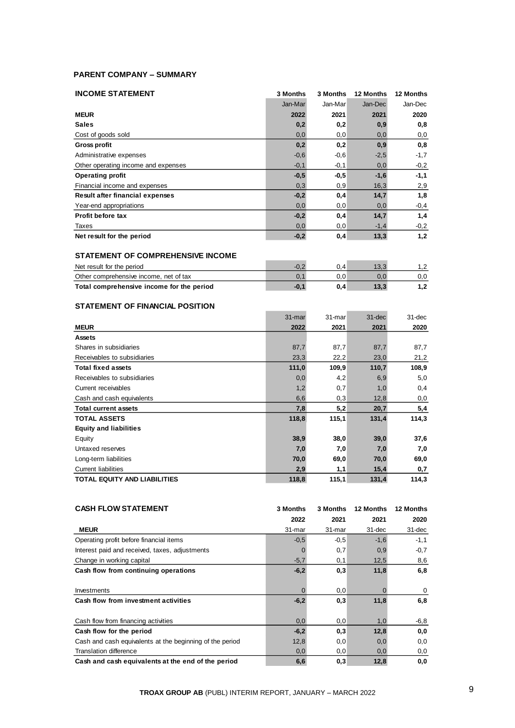# **PARENT COMPANY – SUMMARY**

| <b>INCOME STATEMENT</b>                   | 3 Months | 3 Months | 12 Months | 12 Months |
|-------------------------------------------|----------|----------|-----------|-----------|
|                                           | Jan-Mar  | Jan-Mar  | Jan-Dec   | Jan-Dec   |
| <b>MEUR</b>                               | 2022     | 2021     | 2021      | 2020      |
| <b>Sales</b>                              | 0,2      | 0,2      | 0,9       | 0,8       |
| Cost of goods sold                        | 0,0      | 0,0      | 0,0       | 0,0       |
| <b>Gross profit</b>                       | 0,2      | 0,2      | 0,9       | 0,8       |
| Administrative expenses                   | $-0,6$   | $-0,6$   | $-2,5$    | $-1,7$    |
| Other operating income and expenses       | $-0,1$   | $-0,1$   | 0,0       | $-0,2$    |
| <b>Operating profit</b>                   | $-0,5$   | $-0,5$   | $-1,6$    | $-1,1$    |
| Financial income and expenses             | 0,3      | 0,9      | 16,3      | 2,9       |
| Result after financial expenses           | $-0,2$   | 0,4      | 14,7      | 1,8       |
| Year-end appropriations                   | 0,0      | 0,0      | 0,0       | $-0,4$    |
| Profit before tax                         | $-0,2$   | 0,4      | 14,7      | 1,4       |
| Taxes                                     | 0,0      | 0,0      | $-1,4$    | $-0,2$    |
| Net result for the period                 | $-0,2$   | 0,4      | 13,3      | 1,2       |
| <b>STATEMENT OF COMPREHENSIVE INCOME</b>  |          |          |           |           |
| Net result for the period                 | $-0,2$   | 0,4      | 13,3      | 1,2       |
| Other comprehensive income, net of tax    | 0, 1     | 0,0      | 0,0       | 0,0       |
| Total comprehensive income for the period | $-0,1$   | 0,4      | 13,3      | 1,2       |

# **STATEMENT OF FINANCIAL POSITION**

|                                     | 31-mar | 31-mar | $31 - dec$ | 31-dec |
|-------------------------------------|--------|--------|------------|--------|
| <b>MEUR</b>                         | 2022   | 2021   | 2021       | 2020   |
| Assets                              |        |        |            |        |
| Shares in subsidiaries              | 87,7   | 87,7   | 87,7       | 87,7   |
| Receivables to subsidiaries         | 23,3   | 22,2   | 23,0       | 21,2   |
| <b>Total fixed assets</b>           | 111,0  | 109,9  | 110,7      | 108,9  |
| Receivables to subsidiaries         | 0,0    | 4,2    | 6,9        | 5,0    |
| Current receivables                 | 1,2    | 0,7    | 1,0        | 0,4    |
| Cash and cash equivalents           | 6,6    | 0,3    | 12,8       | 0,0    |
| <b>Total current assets</b>         | 7,8    | 5,2    | 20,7       | 5,4    |
| <b>TOTAL ASSETS</b>                 | 118,8  | 115,1  | 131,4      | 114,3  |
| <b>Equity and liabilities</b>       |        |        |            |        |
| Equity                              | 38,9   | 38,0   | 39,0       | 37,6   |
| Untaxed reserves                    | 7,0    | 7,0    | 7,0        | 7,0    |
| Long-term liabilities               | 70,0   | 69,0   | 70,0       | 69,0   |
| <b>Current liabilities</b>          | 2,9    | 1,1    | 15,4       | 0,7    |
| <b>TOTAL EQUITY AND LIABILITIES</b> | 118,8  | 115,1  | 131,4      | 114,3  |

| <b>CASH FLOW STATEMENT</b>                               | 3 Months | 3 Months | 12 Months  | <b>12 Months</b> |
|----------------------------------------------------------|----------|----------|------------|------------------|
|                                                          | 2022     | 2021     | 2021       | 2020             |
| <b>MEUR</b>                                              | 31-mar   | 31-mar   | $31 - dec$ | 31-dec           |
| Operating profit before financial items                  | $-0,5$   | $-0,5$   | $-1,6$     | $-1,1$           |
| Interest paid and received, taxes, adjustments           | 0        | 0,7      | 0,9        | $-0,7$           |
| Change in working capital                                | $-5,7$   | 0,1      | 12,5       | 8,6              |
| Cash flow from continuing operations                     | $-6,2$   | 0,3      | 11,8       | 6,8              |
|                                                          |          |          |            |                  |
| Investments                                              | 0        | 0,0      |            | 0                |
| Cash flow from investment activities                     | $-6,2$   | 0,3      | 11,8       | 6,8              |
|                                                          |          |          |            |                  |
| Cash flow from financing activities                      | 0,0      | 0,0      | 1,0        | $-6, 8$          |
| Cash flow for the period                                 | $-6,2$   | 0,3      | 12,8       | 0,0              |
| Cash and cash equivalents at the beginning of the period | 12,8     | 0,0      | 0,0        | 0,0              |
| <b>Translation difference</b>                            | 0,0      | 0,0      | 0,0        | 0,0              |
| Cash and cash equivalents at the end of the period       | 6,6      | 0,3      | 12,8       | 0,0              |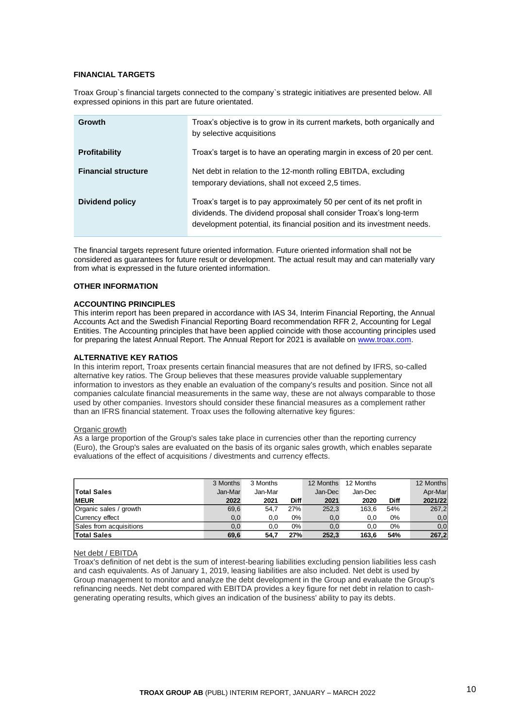## **FINANCIAL TARGETS**

Troax Group`s financial targets connected to the company`s strategic initiatives are presented below. All expressed opinions in this part are future orientated.

| <b>Growth</b>              | Troax's objective is to grow in its current markets, both organically and<br>by selective acquisitions                                                                                                                  |
|----------------------------|-------------------------------------------------------------------------------------------------------------------------------------------------------------------------------------------------------------------------|
| <b>Profitability</b>       | Troax's target is to have an operating margin in excess of 20 per cent.                                                                                                                                                 |
| <b>Financial structure</b> | Net debt in relation to the 12-month rolling EBITDA, excluding<br>temporary deviations, shall not exceed 2,5 times.                                                                                                     |
| Dividend policy            | Troax's target is to pay approximately 50 per cent of its net profit in<br>dividends. The dividend proposal shall consider Troax's long-term<br>development potential, its financial position and its investment needs. |

The financial targets represent future oriented information. Future oriented information shall not be considered as guarantees for future result or development. The actual result may and can materially vary from what is expressed in the future oriented information.

## **OTHER INFORMATION**

## **ACCOUNTING PRINCIPLES**

This interim report has been prepared in accordance with IAS 34, Interim Financial Reporting, the Annual Accounts Act and the Swedish Financial Reporting Board recommendation RFR 2, Accounting for Legal Entities. The Accounting principles that have been applied coincide with those accounting principles used for preparing the latest Annual Report. The Annual Report for 2021 is available on [www.troax.com.](http://www.troax.com/)

## **ALTERNATIVE KEY RATIOS**

In this interim report, Troax presents certain financial measures that are not defined by IFRS, so-called alternative key ratios. The Group believes that these measures provide valuable supplementary information to investors as they enable an evaluation of the company's results and position. Since not all companies calculate financial measurements in the same way, these are not always comparable to those used by other companies. Investors should consider these financial measures as a complement rather than an IFRS financial statement. Troax uses the following alternative key figures:

### Organic growth

As a large proportion of the Group's sales take place in currencies other than the reporting currency (Euro), the Group's sales are evaluated on the basis of its organic sales growth, which enables separate evaluations of the effect of acquisitions / divestments and currency effects.

|                         | 3 Months | 3 Months |             | 12 Months | 12 Months |             | 12 Months |
|-------------------------|----------|----------|-------------|-----------|-----------|-------------|-----------|
| <b>Total Sales</b>      | Jan-Mar  | Jan-Mar  |             | Jan-Dec   | Jan-Dec   |             | Apr-Marl  |
| <b>MEUR</b>             | 2022     | 2021     | <b>Diff</b> | 2021      | 2020      | <b>Diff</b> | 2021/22   |
| Organic sales / growth  | 69,6     | 54.7     | 27%         | 252,3     | 163,6     | 54%         | 267,2     |
| Currency effect         | 0,0      | 0,0      | 0%          | 0,0       | 0,0       | $0\%$       | 0, 0      |
| Sales from acquisitions | 0,0      | 0,0      | 0%          | 0,0       | 0.0       | 0%          | 0, 0      |
| <b>Total Sales</b>      | 69,6     | 54.7     | 27%         | 252,3     | 163.6     | 54%         | 267,2     |

#### Net debt / EBITDA

Troax's definition of net debt is the sum of interest-bearing liabilities excluding pension liabilities less cash and cash equivalents. As of January 1, 2019, leasing liabilities are also included. Net debt is used by Group management to monitor and analyze the debt development in the Group and evaluate the Group's refinancing needs. Net debt compared with EBITDA provides a key figure for net debt in relation to cashgenerating operating results, which gives an indication of the business' ability to pay its debts.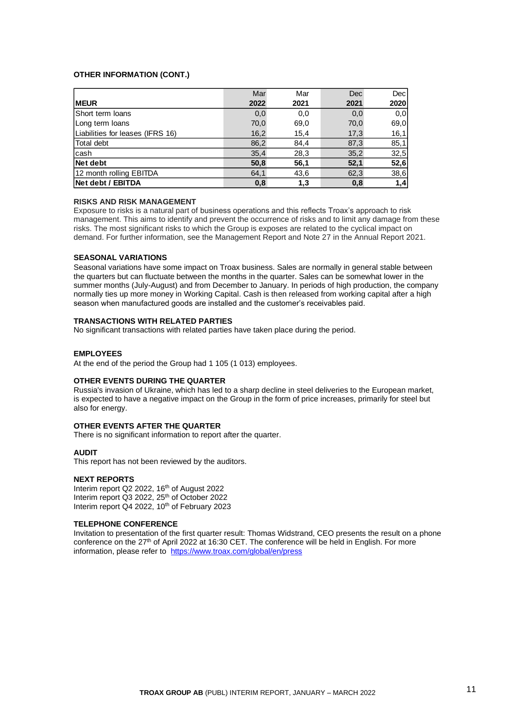## **OTHER INFORMATION (CONT.)**

|                                  | Mar  | Mar  | <b>Dec</b> | Dec  |
|----------------------------------|------|------|------------|------|
| <b>MEUR</b>                      | 2022 | 2021 | 2021       | 2020 |
| <b>IShort term Ioans</b>         | 0,0  | 0,0  | 0,0        | 0,0  |
| Long term loans                  | 70,0 | 69,0 | 70,0       | 69,0 |
| Liabilities for leases (IFRS 16) | 16,2 | 15,4 | 17,3       | 16,1 |
| Total debt                       | 86,2 | 84,4 | 87,3       | 85,1 |
| cash                             | 35,4 | 28,3 | 35,2       | 32,5 |
| Net debt                         | 50,8 | 56,1 | 52,1       | 52,6 |
| 12 month rolling EBITDA          | 64,1 | 43,6 | 62,3       | 38,6 |
| Net debt / EBITDA                | 0,8  | 1,3  | 0,8        | 1,4  |

## **RISKS AND RISK MANAGEMENT**

Exposure to risks is a natural part of business operations and this reflects Troax's approach to risk management. This aims to identify and prevent the occurrence of risks and to limit any damage from these risks. The most significant risks to which the Group is exposes are related to the cyclical impact on demand. For further information, see the Management Report and Note 27 in the Annual Report 2021.

## **SEASONAL VARIATIONS**

Seasonal variations have some impact on Troax business. Sales are normally in general stable between the quarters but can fluctuate between the months in the quarter. Sales can be somewhat lower in the summer months (July-August) and from December to January. In periods of high production, the company normally ties up more money in Working Capital. Cash is then released from working capital after a high season when manufactured goods are installed and the customer's receivables paid.

## **TRANSACTIONS WITH RELATED PARTIES**

No significant transactions with related parties have taken place during the period.

## **EMPLOYEES**

At the end of the period the Group had 1 105 (1 013) employees.

## **OTHER EVENTS DURING THE QUARTER**

Russia's invasion of Ukraine, which has led to a sharp decline in steel deliveries to the European market, is expected to have a negative impact on the Group in the form of price increases, primarily for steel but also for energy.

# **OTHER EVENTS AFTER THE QUARTER**

There is no significant information to report after the quarter.

#### **AUDIT**

This report has not been reviewed by the auditors.

## **NEXT REPORTS**

Interim report Q2 2022, 16<sup>th</sup> of August 2022 Interim report Q3 2022, 25<sup>th</sup> of October 2022 Interim report Q4 2022,  $10^{th}$  of February 2023

## **TELEPHONE CONFERENCE**

Invitation to presentation of the first quarter result: Thomas Widstrand, CEO presents the result on a phone conference on the 27<sup>th</sup> of April 2022 at 16:30 CET. The conference will be held in English. For more information, please refer to <https://www.troax.com/global/en/press>